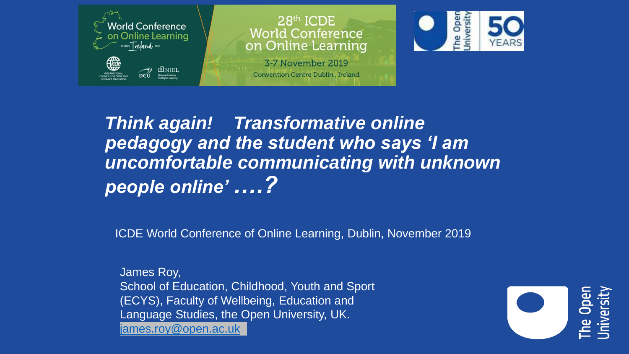

 $28<sup>th</sup>$  ICDE **World Conference** on Online Learning

3-7 November 2019 Convention Centre Dublin, Ireland



*Think again! Transformative online pedagogy and the student who says 'I am uncomfortable communicating with unknown people online' ….?* 

ICDE World Conference of Online Learning, Dublin, November 2019

James Roy, School of Education, Childhood, Youth and Sport (ECYS), Faculty of Wellbeing, Education and Language Studies, the Open University, UK. [james.roy@open.ac.uk](mailto:James.roy@open.ac.uk)

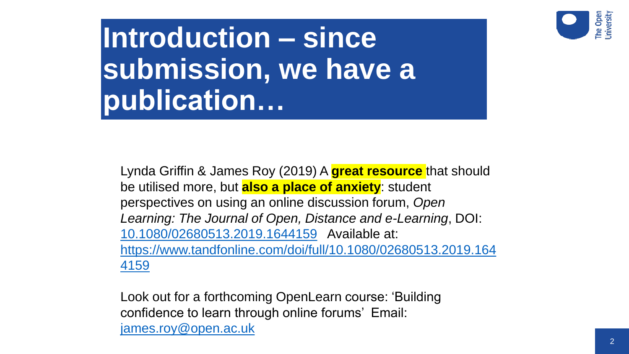

**Introduction – since submission, we have a publication…**

Lynda Griffin & James Roy (2019) A **great resource** that should be utilised more, but **also a place of anxiety**: student perspectives on using an online discussion forum, *Open Learning: The Journal of Open, Distance and e-Learning*, DOI: [10.1080/02680513.2019.1644159](https://doi.org/10.1080/02680513.2019.1644159) Available at: [https://www.tandfonline.com/doi/full/10.1080/02680513.2019.164](https://www.tandfonline.com/doi/full/10.1080/02680513.2019.1644159) 4159

Look out for a forthcoming OpenLearn course: 'Building confidence to learn through online forums' Email: [james.roy@open.ac.uk](mailto:james.roy@open.ac.uk)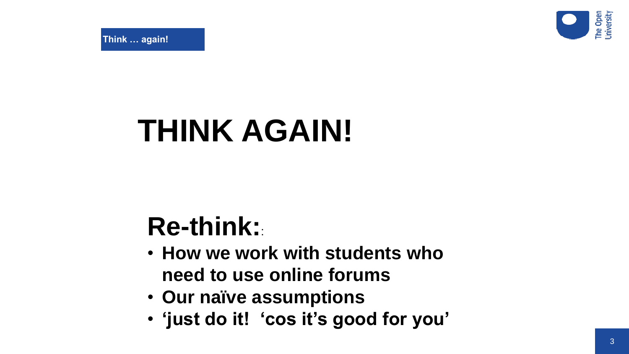

**Think … again!**

# **THINK AGAIN!**

## **Re-think:**:

- **How we work with students who need to use online forums**
- **Our naïve assumptions**
- **'just do it! 'cos it's good for you'**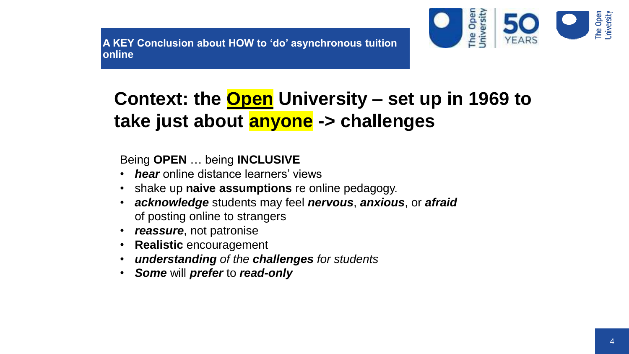**A KEY Conclusion about HOW to 'do' asynchronous tuition online** 



## **Context: the Open University – set up in 1969 to take just about anyone -> challenges**

Being **OPEN** … being **INCLUSIVE**

- *hear* online distance learners' views
- shake up **naive assumptions** re online pedagogy.
- *acknowledge* students may feel *nervous*, *anxious*, or *afraid* of posting online to strangers
- *reassure*, not patronise
- **Realistic** encouragement
- *understanding of the challenges for students*
- *Some* will *prefer* to *read-only*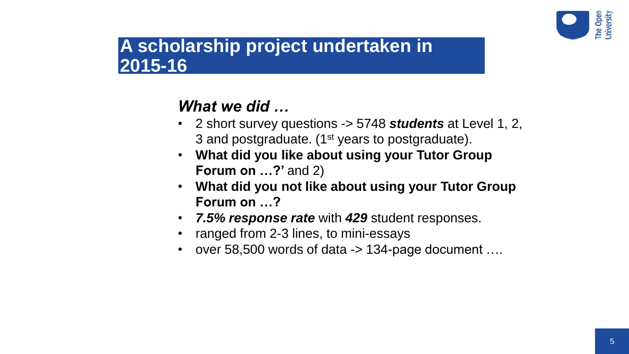

## **A scholarship project undertaken in 2015-16**

## *What we did …*

- 2 short survey questions -> 5748 *students* at Level 1, 2, 3 and postgraduate. (1<sup>st</sup> years to postgraduate).
- **What did you like about using your Tutor Group Forum on ...?'** and 2)
- **What did you not like about using your Tutor Group Forum on …?**
- *7.5% response rate* with *429* student responses.
- ranged from 2-3 lines, to mini-essays
- over 58,500 words of data -> 134-page document ....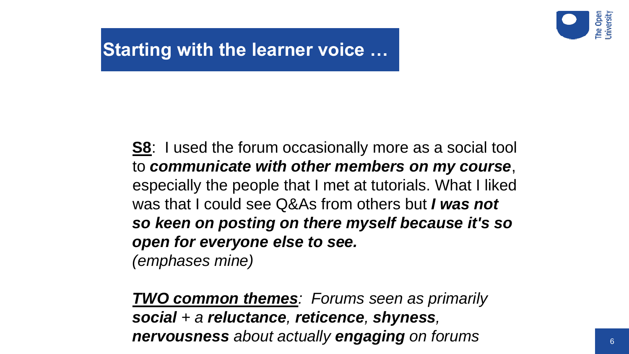

## **Starting with the learner voice …**

**S8**: I used the forum occasionally more as a social tool to *communicate with other members on my course*, especially the people that I met at tutorials. What I liked was that I could see Q&As from others but *I was not so keen on posting on there myself because it's so open for everyone else to see. (emphases mine)*

*TWO common themes: Forums seen as primarily social + a reluctance, reticence, shyness, nervousness about actually engaging on forums*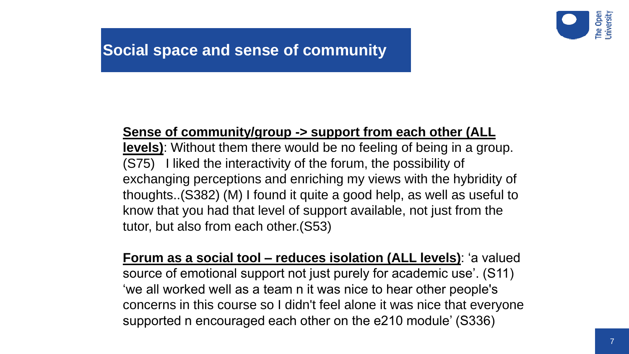

### **Social space and sense of community**

#### **Sense of community/group -> support from each other (ALL**

**levels)**: Without them there would be no feeling of being in a group. (S75) I liked the interactivity of the forum, the possibility of exchanging perceptions and enriching my views with the hybridity of thoughts..(S382) (M) I found it quite a good help, as well as useful to know that you had that level of support available, not just from the tutor, but also from each other.(S53)

**Forum as a social tool – reduces isolation (ALL levels)**: 'a valued source of emotional support not just purely for academic use'. (S11) 'we all worked well as a team n it was nice to hear other people's concerns in this course so I didn't feel alone it was nice that everyone supported n encouraged each other on the e210 module' (S336)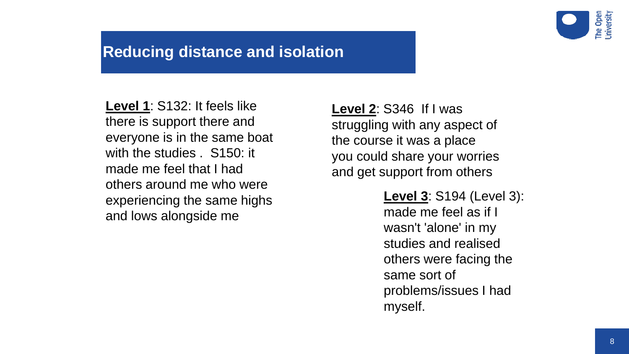

#### **Reducing distance and isolation**

**Level 1**: S132: It feels like there is support there and everyone is in the same boat with the studies . S150: it made me feel that I had others around me who were experiencing the same highs and lows alongside me

**Level 2**: S346 If I was struggling with any aspect of the course it was a place you could share your worries and get support from others

> **Level 3**: S194 (Level 3): made me feel as if I wasn't 'alone' in my studies and realised others were facing the same sort of problems/issues I had myself.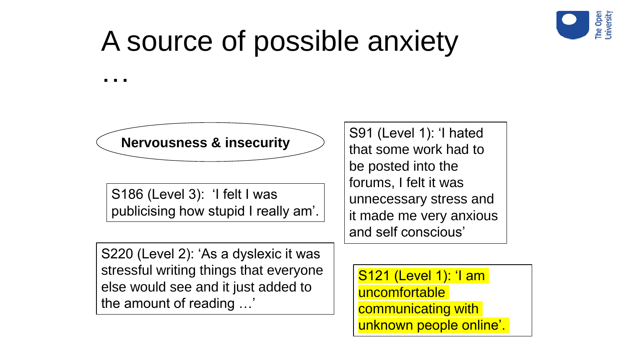

## A source of possible anxiety

…

**Nervousness & insecurity** S91 (Level 1): 'I hated

S186 (Level 3): 'I felt I was publicising how stupid I really am'. that some work had to be posted into the forums, I felt it was unnecessary stress and it made me very anxious and self conscious'

S220 (Level 2): 'As a dyslexic it was stressful writing things that everyone else would see and it just added to the amount of reading …'

S121 (Level 1): 'I am uncomfortable communicating with unknown people online'.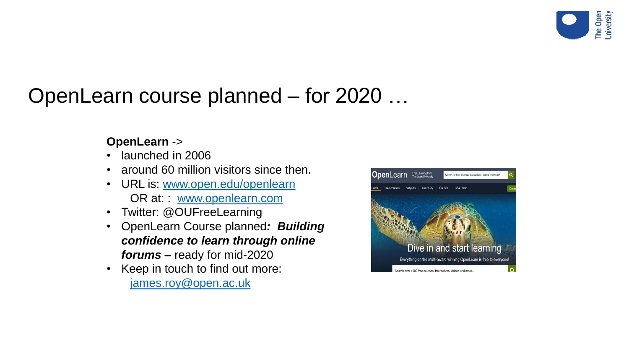

## OpenLearn course planned – for 2020 …

#### **OpenLearn** ->

- launched in 2006
- around 60 million visitors since then.
- URL is: [www.open.edu/openlearn](http://www.open.edu/openlearn) OR at: : [www.openlearn.com](http://www.openlearn.com/)
- Twitter: @OUFreeLearning
- OpenLearn Course planned*: Building confidence to learn through online forums –* ready for mid-2020
- Keep in touch to find out more: [james.roy@open.ac.uk](mailto:james.roy@open.ac.uk)

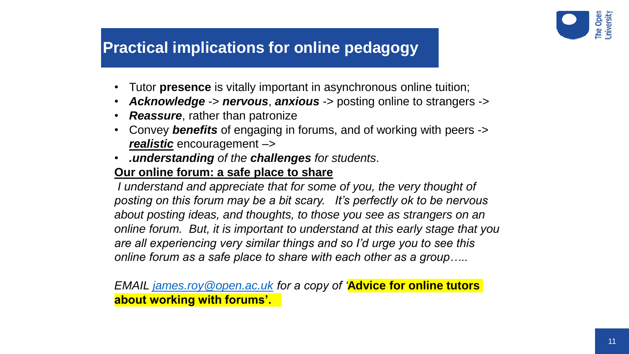

### **Practical implications for online pedagogy**

- Tutor **presence** is vitally important in asynchronous online tuition;
- *Acknowledge* -> *nervous*, *anxious* -> posting online to strangers ->
- *Reassure*, rather than patronize
- Convey *benefits* of engaging in forums, and of working with peers -> *realistic* encouragement –>
- *.understanding of the challenges for students*.

#### **Our online forum: a safe place to share**

*I* understand and appreciate that for some of you, the very thought of *posting on this forum may be a bit scary. It's perfectly ok to be nervous about posting ideas, and thoughts, to those you see as strangers on an online forum. But, it is important to understand at this early stage that you are all experiencing very similar things and so I'd urge you to see this online forum as a safe place to share with each other as a group…..*

*EMAIL [james.roy@open.ac.uk](mailto:james.roy@open.ac.uk) for a copy of '***Advice for online tutors about working with forums'.**